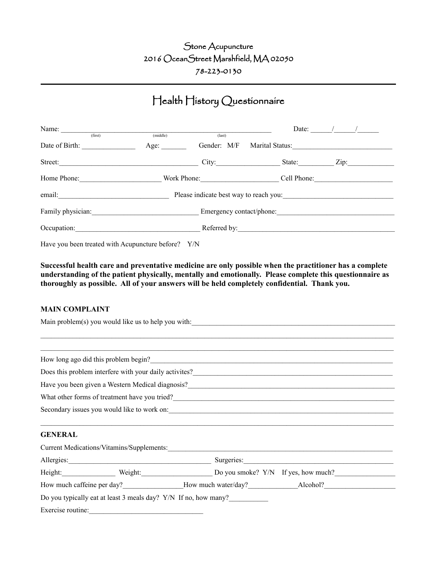## Stone Acupuncture 2016 OceanStreet Marshfield, MA 02050 78-223-0130

## Health History Questionnaire

| Name: $\frac{1}{(first)}$ | (middle) |                          |                                                           | Date: $\frac{1}{\sqrt{2}}$ |  |
|---------------------------|----------|--------------------------|-----------------------------------------------------------|----------------------------|--|
|                           |          | $last)$                  |                                                           |                            |  |
|                           | Age:     | Gender: M/F              | Marital Status:                                           |                            |  |
|                           | Street:  | City:                    | State: $\frac{1}{\sqrt{1-\frac{1}{2}} \cdot \frac{1}{2}}$ | $\mathbf{Zip:}$            |  |
|                           |          | Work Phone:              |                                                           | Cell Phone:                |  |
| email:                    |          |                          | Please indicate best way to reach you:                    |                            |  |
|                           |          | Emergency contact/phone: |                                                           |                            |  |
|                           |          |                          | Referred by:                                              |                            |  |

Have you been treated with Acupuncture before? Y/N

**Successful health care and preventative medicine are only possible when the practitioner has a complete understanding of the patient physically, mentally and emotionally. Please complete this questionnaire as thoroughly as possible. All of your answers will be held completely confidential. Thank you.**

## **MAIN COMPLAINT**

| Main problem(s) you would like us to help you with:                                                                                                                                                                                |                                                                                                                                                                                                                                        |                                                                                                                                                                                                                                |  |  |  |
|------------------------------------------------------------------------------------------------------------------------------------------------------------------------------------------------------------------------------------|----------------------------------------------------------------------------------------------------------------------------------------------------------------------------------------------------------------------------------------|--------------------------------------------------------------------------------------------------------------------------------------------------------------------------------------------------------------------------------|--|--|--|
|                                                                                                                                                                                                                                    |                                                                                                                                                                                                                                        |                                                                                                                                                                                                                                |  |  |  |
|                                                                                                                                                                                                                                    |                                                                                                                                                                                                                                        |                                                                                                                                                                                                                                |  |  |  |
|                                                                                                                                                                                                                                    |                                                                                                                                                                                                                                        | How long ago did this problem begin?                                                                                                                                                                                           |  |  |  |
|                                                                                                                                                                                                                                    | Does this problem interfere with your daily activites?<br><u>Letting and</u> the state of the state of the state of the state of the state of the state of the state of the state of the state of the state of the state of the state  |                                                                                                                                                                                                                                |  |  |  |
| Have you been given a Western Medical diagnosis?<br>1980 - Marcellon Marcellon, Marcellon and Western Medical diagnosis?<br>2001 - Marcellon Marcellon, Marcellon and Marcellon and Marcellon and Marcellon and Marcellon and Marc |                                                                                                                                                                                                                                        |                                                                                                                                                                                                                                |  |  |  |
|                                                                                                                                                                                                                                    | What other forms of treatment have you tried?<br><u>Leader and the contract of the set of the set of the set of the set of the set of the set of the set of the set of the set of the set of the set of the set of the set of the </u> |                                                                                                                                                                                                                                |  |  |  |
|                                                                                                                                                                                                                                    |                                                                                                                                                                                                                                        |                                                                                                                                                                                                                                |  |  |  |
|                                                                                                                                                                                                                                    |                                                                                                                                                                                                                                        |                                                                                                                                                                                                                                |  |  |  |
| <b>GENERAL</b>                                                                                                                                                                                                                     |                                                                                                                                                                                                                                        |                                                                                                                                                                                                                                |  |  |  |
|                                                                                                                                                                                                                                    |                                                                                                                                                                                                                                        |                                                                                                                                                                                                                                |  |  |  |
|                                                                                                                                                                                                                                    |                                                                                                                                                                                                                                        | Allergies: Surgeries: Surgeries: Surgeries: Surgeries: Surgeries: Surgeries: Surgeries: Surgeries: Surgeries: Surgeries: Surgeries: Surgeries: Surgeries: Surgeries: Surgeries: Surgeries: Surgeries: Surgeries: Surgeries: Su |  |  |  |
|                                                                                                                                                                                                                                    |                                                                                                                                                                                                                                        | Height: Weight: Weight: Do you smoke? Y/N If yes, how much?                                                                                                                                                                    |  |  |  |
|                                                                                                                                                                                                                                    |                                                                                                                                                                                                                                        | How much caffeine per day? How much water/day? Alcohol?                                                                                                                                                                        |  |  |  |
|                                                                                                                                                                                                                                    |                                                                                                                                                                                                                                        | Do you typically eat at least 3 meals day? Y/N If no, how many?                                                                                                                                                                |  |  |  |
| Exercise routine:                                                                                                                                                                                                                  |                                                                                                                                                                                                                                        |                                                                                                                                                                                                                                |  |  |  |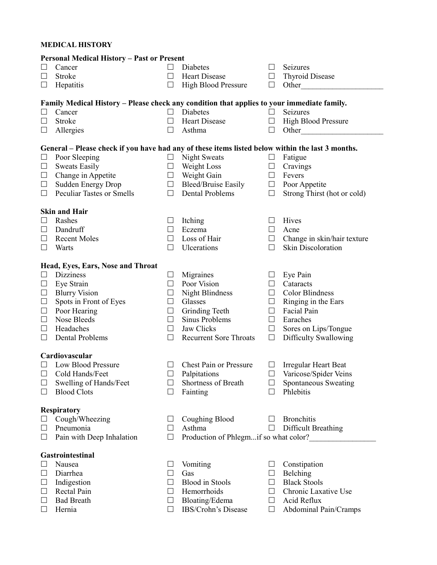## **MEDICAL HISTORY**

| <b>Personal Medical History - Past or Present</b> |                                                                                                  |         |                                       |         |                              |  |
|---------------------------------------------------|--------------------------------------------------------------------------------------------------|---------|---------------------------------------|---------|------------------------------|--|
|                                                   | Cancer                                                                                           |         | Diabetes                              | $\Box$  | Seizures                     |  |
| ப                                                 | Stroke                                                                                           |         | <b>Heart Disease</b>                  | $\Box$  | <b>Thyroid Disease</b>       |  |
| ப                                                 | Hepatitis                                                                                        |         | High Blood Pressure                   | $\Box$  | Other                        |  |
|                                                   | Family Medical History – Please check any condition that applies to your immediate family.       |         |                                       |         |                              |  |
| $\Box$                                            | Cancer                                                                                           | $\Box$  | Diabetes                              | $\Box$  | Seizures                     |  |
| $\Box$                                            | Stroke                                                                                           | Ш       | Heart Disease                         | $\Box$  | <b>High Blood Pressure</b>   |  |
| $\Box$                                            | Allergies                                                                                        | $\Box$  | Asthma                                | $\Box$  | Other                        |  |
|                                                   |                                                                                                  |         |                                       |         |                              |  |
|                                                   | General - Please check if you have had any of these items listed below within the last 3 months. |         |                                       |         |                              |  |
| $\Box$                                            | Poor Sleeping                                                                                    | $\Box$  | <b>Night Sweats</b>                   | $\Box$  | Fatigue                      |  |
| $\Box$                                            | <b>Sweats Easily</b>                                                                             | ப       | Weight Loss                           | Ц       | Cravings                     |  |
| $\Box$                                            | Change in Appetite                                                                               | $\Box$  | Weight Gain                           | $\Box$  | Fevers                       |  |
| $\Box$                                            | <b>Sudden Energy Drop</b>                                                                        | $\Box$  | <b>Bleed/Bruise Easily</b>            | $\Box$  | Poor Appetite                |  |
| $\Box$                                            | <b>Peculiar Tastes or Smells</b>                                                                 | $\Box$  | Dental Problems                       | $\Box$  | Strong Thirst (hot or cold)  |  |
|                                                   |                                                                                                  |         |                                       |         |                              |  |
|                                                   | <b>Skin and Hair</b>                                                                             |         |                                       |         |                              |  |
| $\Box$                                            | Rashes                                                                                           | ப       | Itching                               | $\Box$  | Hives                        |  |
| $\Box$                                            | Dandruff                                                                                         | $\perp$ | Eczema                                | $\Box$  | Acne                         |  |
| $\Box$                                            | <b>Recent Moles</b>                                                                              | ΙI      | Loss of Hair                          | $\Box$  | Change in skin/hair texture  |  |
| $\Box$                                            | Warts                                                                                            | П       | Ulcerations                           | $\Box$  | Skin Discoloration           |  |
|                                                   | Head, Eyes, Ears, Nose and Throat                                                                |         |                                       |         |                              |  |
| $\Box$                                            | <b>Dizziness</b>                                                                                 | $\Box$  | Migraines                             | $\Box$  | Eye Pain                     |  |
| $\Box$                                            | Eye Strain                                                                                       | $\perp$ | Poor Vision                           | $\Box$  | Cataracts                    |  |
| $\Box$                                            | <b>Blurry Vision</b>                                                                             | $\Box$  | <b>Night Blindness</b>                | $\Box$  | <b>Color Blindness</b>       |  |
| $\Box$                                            | Spots in Front of Eyes                                                                           | $\Box$  | Glasses                               | $\Box$  | Ringing in the Ears          |  |
| $\Box$                                            | Poor Hearing                                                                                     | $\Box$  | Grinding Teeth                        | $\Box$  | <b>Facial Pain</b>           |  |
| $\Box$                                            | Nose Bleeds                                                                                      | $\Box$  | Sinus Problems                        | $\Box$  | Earaches                     |  |
| $\Box$                                            | Headaches                                                                                        | $\Box$  | Jaw Clicks                            | $\Box$  | Sores on Lips/Tongue         |  |
| $\Box$                                            | Dental Problems                                                                                  | $\Box$  | <b>Recurrent Sore Throats</b>         | $\Box$  | Difficulty Swallowing        |  |
|                                                   |                                                                                                  |         |                                       |         |                              |  |
|                                                   | Cardiovascular                                                                                   |         |                                       |         |                              |  |
| $\Box$                                            | Low Blood Pressure                                                                               | □       | Chest Pain or Pressure                | $\Box$  | <b>Irregular Heart Beat</b>  |  |
|                                                   | $\Box$ Cold Hands/Feet                                                                           | $\Box$  | Palpitations                          |         | $\Box$ Varicose/Spider Veins |  |
| $\Box$                                            | Swelling of Hands/Feet                                                                           | ⊔       | Shortness of Breath                   | $\Box$  | Spontaneous Sweating         |  |
| $\Box$                                            | <b>Blood Clots</b>                                                                               | ப       | Fainting                              | П       | Phlebitis                    |  |
| <b>Respiratory</b>                                |                                                                                                  |         |                                       |         |                              |  |
|                                                   | Cough/Wheezing                                                                                   |         | Coughing Blood                        |         | <b>Bronchitis</b>            |  |
| ப                                                 | Pneumonia                                                                                        | ΙI      | Asthma                                | $\perp$ | Difficult Breathing          |  |
| $\Box$                                            | Pain with Deep Inhalation                                                                        | Ш       | Production of Phlegmif so what color? |         |                              |  |
|                                                   |                                                                                                  |         |                                       |         |                              |  |
|                                                   | Gastrointestinal                                                                                 |         |                                       |         |                              |  |
| ப                                                 | Nausea                                                                                           |         | Vomiting                              | $\Box$  | Constipation                 |  |
| $\Box$                                            | Diarrhea                                                                                         | ш       | Gas                                   | $\Box$  | Belching                     |  |
| $\sqcup$                                          | Indigestion                                                                                      |         | <b>Blood</b> in Stools                | $\Box$  | <b>Black Stools</b>          |  |
| $\Box$                                            | Rectal Pain                                                                                      |         | Hemorrhoids                           | $\Box$  | Chronic Laxative Use         |  |
| $\Box$                                            | <b>Bad Breath</b>                                                                                |         | Bloating/Edema                        | $\Box$  | Acid Reflux                  |  |
| ⊔                                                 | Hernia                                                                                           | ΙI      | IBS/Crohn's Disease                   | ப       | Abdominal Pain/Cramps        |  |